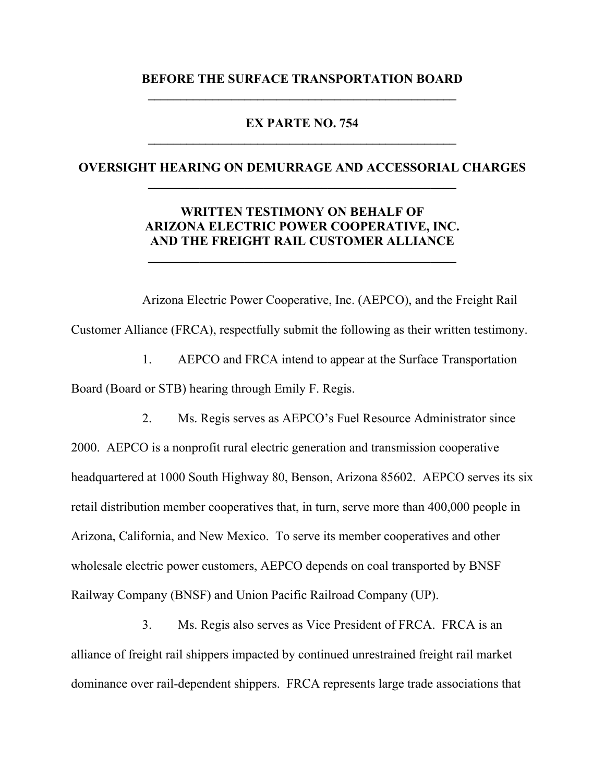### **BEFORE THE SURFACE TRANSPORTATION BOARD \_\_\_\_\_\_\_\_\_\_\_\_\_\_\_\_\_\_\_\_\_\_\_\_\_\_\_\_\_\_\_\_\_\_\_\_\_\_\_\_\_\_\_\_\_\_\_\_**

#### **EX PARTE NO. 754 \_\_\_\_\_\_\_\_\_\_\_\_\_\_\_\_\_\_\_\_\_\_\_\_\_\_\_\_\_\_\_\_\_\_\_\_\_\_\_\_\_\_\_\_\_\_\_\_**

#### **OVERSIGHT HEARING ON DEMURRAGE AND ACCESSORIAL CHARGES \_\_\_\_\_\_\_\_\_\_\_\_\_\_\_\_\_\_\_\_\_\_\_\_\_\_\_\_\_\_\_\_\_\_\_\_\_\_\_\_\_\_\_\_\_\_\_\_**

# **WRITTEN TESTIMONY ON BEHALF OF ARIZONA ELECTRIC POWER COOPERATIVE, INC. AND THE FREIGHT RAIL CUSTOMER ALLIANCE**

**\_\_\_\_\_\_\_\_\_\_\_\_\_\_\_\_\_\_\_\_\_\_\_\_\_\_\_\_\_\_\_\_\_\_\_\_\_\_\_\_\_\_\_\_\_\_\_\_** 

 Arizona Electric Power Cooperative, Inc. (AEPCO), and the Freight Rail Customer Alliance (FRCA), respectfully submit the following as their written testimony.

1. AEPCO and FRCA intend to appear at the Surface Transportation Board (Board or STB) hearing through Emily F. Regis.

2. Ms. Regis serves as AEPCO's Fuel Resource Administrator since 2000. AEPCO is a nonprofit rural electric generation and transmission cooperative headquartered at 1000 South Highway 80, Benson, Arizona 85602. AEPCO serves its six retail distribution member cooperatives that, in turn, serve more than 400,000 people in Arizona, California, and New Mexico. To serve its member cooperatives and other wholesale electric power customers, AEPCO depends on coal transported by BNSF Railway Company (BNSF) and Union Pacific Railroad Company (UP).

3. Ms. Regis also serves as Vice President of FRCA. FRCA is an alliance of freight rail shippers impacted by continued unrestrained freight rail market dominance over rail-dependent shippers. FRCA represents large trade associations that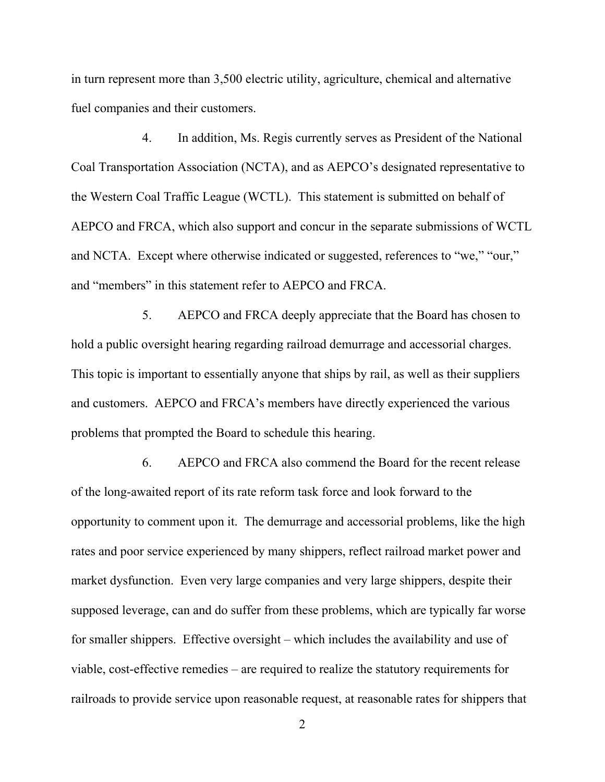in turn represent more than 3,500 electric utility, agriculture, chemical and alternative fuel companies and their customers.

4. In addition, Ms. Regis currently serves as President of the National Coal Transportation Association (NCTA), and as AEPCO's designated representative to the Western Coal Traffic League (WCTL). This statement is submitted on behalf of AEPCO and FRCA, which also support and concur in the separate submissions of WCTL and NCTA. Except where otherwise indicated or suggested, references to "we," "our," and "members" in this statement refer to AEPCO and FRCA.

5. AEPCO and FRCA deeply appreciate that the Board has chosen to hold a public oversight hearing regarding railroad demurrage and accessorial charges. This topic is important to essentially anyone that ships by rail, as well as their suppliers and customers. AEPCO and FRCA's members have directly experienced the various problems that prompted the Board to schedule this hearing.

6. AEPCO and FRCA also commend the Board for the recent release of the long-awaited report of its rate reform task force and look forward to the opportunity to comment upon it. The demurrage and accessorial problems, like the high rates and poor service experienced by many shippers, reflect railroad market power and market dysfunction. Even very large companies and very large shippers, despite their supposed leverage, can and do suffer from these problems, which are typically far worse for smaller shippers. Effective oversight – which includes the availability and use of viable, cost-effective remedies – are required to realize the statutory requirements for railroads to provide service upon reasonable request, at reasonable rates for shippers that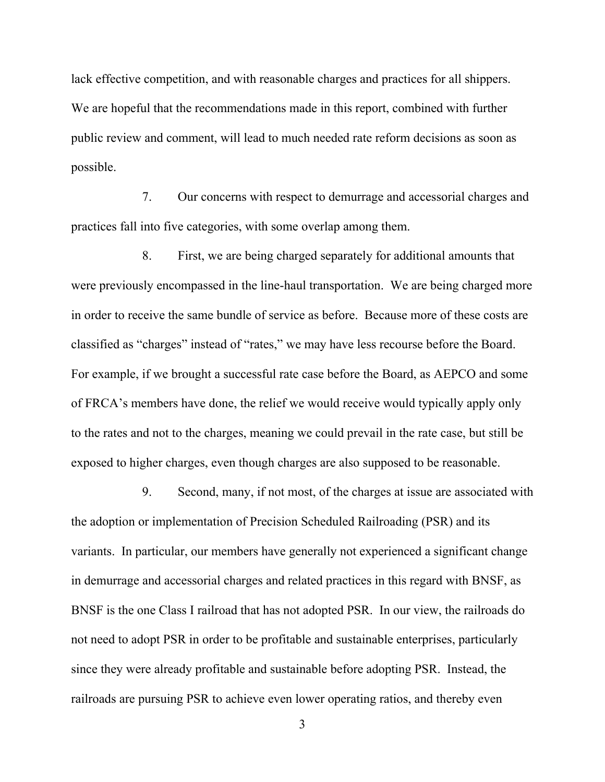lack effective competition, and with reasonable charges and practices for all shippers. We are hopeful that the recommendations made in this report, combined with further public review and comment, will lead to much needed rate reform decisions as soon as possible.

7. Our concerns with respect to demurrage and accessorial charges and practices fall into five categories, with some overlap among them.

8. First, we are being charged separately for additional amounts that were previously encompassed in the line-haul transportation. We are being charged more in order to receive the same bundle of service as before. Because more of these costs are classified as "charges" instead of "rates," we may have less recourse before the Board. For example, if we brought a successful rate case before the Board, as AEPCO and some of FRCA's members have done, the relief we would receive would typically apply only to the rates and not to the charges, meaning we could prevail in the rate case, but still be exposed to higher charges, even though charges are also supposed to be reasonable.

9. Second, many, if not most, of the charges at issue are associated with the adoption or implementation of Precision Scheduled Railroading (PSR) and its variants. In particular, our members have generally not experienced a significant change in demurrage and accessorial charges and related practices in this regard with BNSF, as BNSF is the one Class I railroad that has not adopted PSR. In our view, the railroads do not need to adopt PSR in order to be profitable and sustainable enterprises, particularly since they were already profitable and sustainable before adopting PSR. Instead, the railroads are pursuing PSR to achieve even lower operating ratios, and thereby even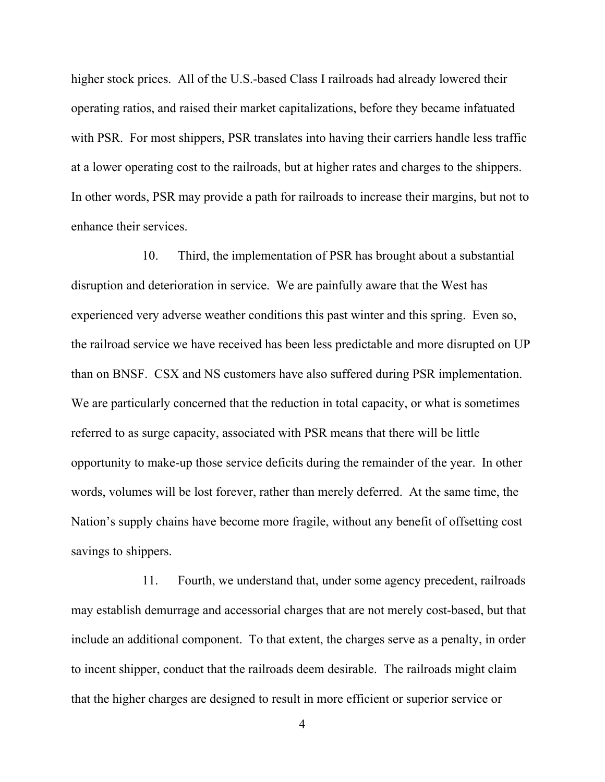higher stock prices. All of the U.S.-based Class I railroads had already lowered their operating ratios, and raised their market capitalizations, before they became infatuated with PSR. For most shippers, PSR translates into having their carriers handle less traffic at a lower operating cost to the railroads, but at higher rates and charges to the shippers. In other words, PSR may provide a path for railroads to increase their margins, but not to enhance their services.

10. Third, the implementation of PSR has brought about a substantial disruption and deterioration in service. We are painfully aware that the West has experienced very adverse weather conditions this past winter and this spring. Even so, the railroad service we have received has been less predictable and more disrupted on UP than on BNSF. CSX and NS customers have also suffered during PSR implementation. We are particularly concerned that the reduction in total capacity, or what is sometimes referred to as surge capacity, associated with PSR means that there will be little opportunity to make-up those service deficits during the remainder of the year. In other words, volumes will be lost forever, rather than merely deferred. At the same time, the Nation's supply chains have become more fragile, without any benefit of offsetting cost savings to shippers.

11. Fourth, we understand that, under some agency precedent, railroads may establish demurrage and accessorial charges that are not merely cost-based, but that include an additional component. To that extent, the charges serve as a penalty, in order to incent shipper, conduct that the railroads deem desirable. The railroads might claim that the higher charges are designed to result in more efficient or superior service or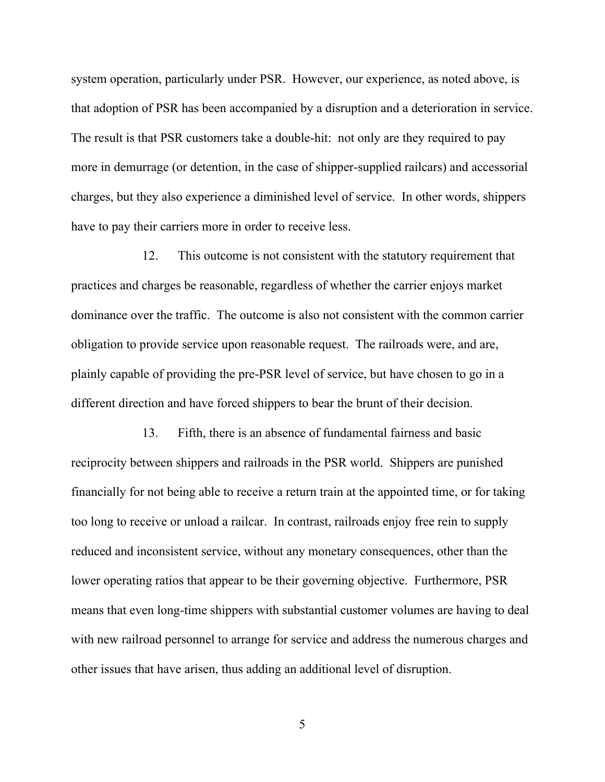system operation, particularly under PSR. However, our experience, as noted above, is that adoption of PSR has been accompanied by a disruption and a deterioration in service. The result is that PSR customers take a double-hit: not only are they required to pay more in demurrage (or detention, in the case of shipper-supplied railcars) and accessorial charges, but they also experience a diminished level of service. In other words, shippers have to pay their carriers more in order to receive less.

12. This outcome is not consistent with the statutory requirement that practices and charges be reasonable, regardless of whether the carrier enjoys market dominance over the traffic. The outcome is also not consistent with the common carrier obligation to provide service upon reasonable request. The railroads were, and are, plainly capable of providing the pre-PSR level of service, but have chosen to go in a different direction and have forced shippers to bear the brunt of their decision.

13. Fifth, there is an absence of fundamental fairness and basic reciprocity between shippers and railroads in the PSR world. Shippers are punished financially for not being able to receive a return train at the appointed time, or for taking too long to receive or unload a railcar. In contrast, railroads enjoy free rein to supply reduced and inconsistent service, without any monetary consequences, other than the lower operating ratios that appear to be their governing objective. Furthermore, PSR means that even long-time shippers with substantial customer volumes are having to deal with new railroad personnel to arrange for service and address the numerous charges and other issues that have arisen, thus adding an additional level of disruption.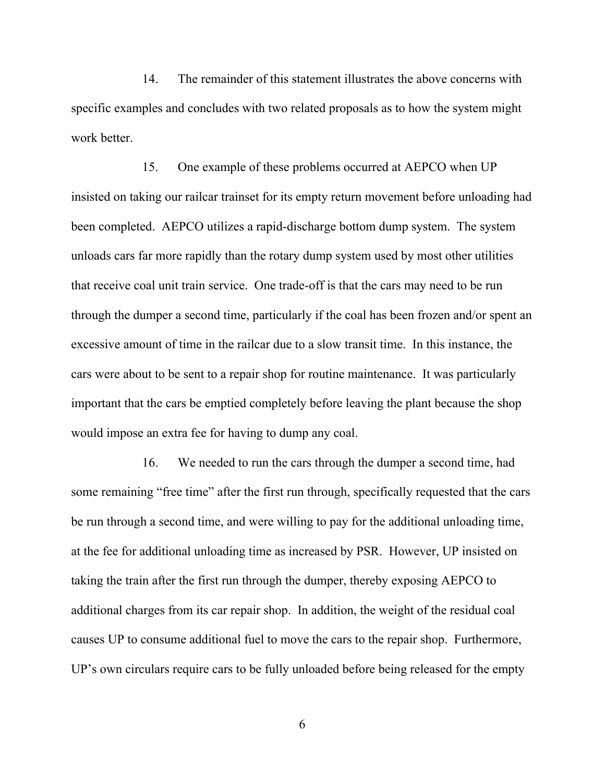14. The remainder of this statement illustrates the above concerns with specific examples and concludes with two related proposals as to how the system might work better.

15. One example of these problems occurred at AEPCO when UP insisted on taking our railcar trainset for its empty return movement before unloading had been completed. AEPCO utilizes a rapid-discharge bottom dump system. The system unloads cars far more rapidly than the rotary dump system used by most other utilities that receive coal unit train service. One trade-off is that the cars may need to be run through the dumper a second time, particularly if the coal has been frozen and/or spent an excessive amount of time in the railcar due to a slow transit time. In this instance, the cars were about to be sent to a repair shop for routine maintenance. It was particularly important that the cars be emptied completely before leaving the plant because the shop would impose an extra fee for having to dump any coal.

16. We needed to run the cars through the dumper a second time, had some remaining "free time" after the first run through, specifically requested that the cars be run through a second time, and were willing to pay for the additional unloading time, at the fee for additional unloading time as increased by PSR. However, UP insisted on taking the train after the first run through the dumper, thereby exposing AEPCO to additional charges from its car repair shop. In addition, the weight of the residual coal causes UP to consume additional fuel to move the cars to the repair shop. Furthermore, UP's own circulars require cars to be fully unloaded before being released for the empty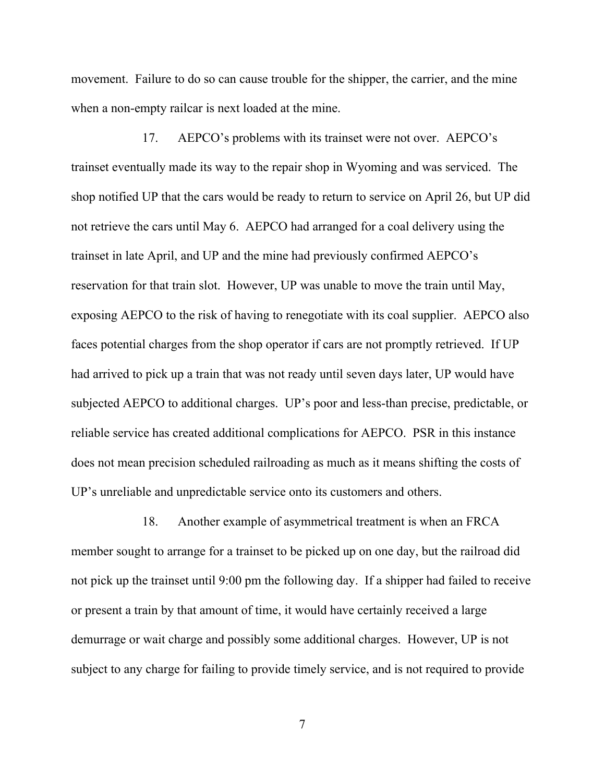movement. Failure to do so can cause trouble for the shipper, the carrier, and the mine when a non-empty railcar is next loaded at the mine.

17. AEPCO's problems with its trainset were not over. AEPCO's trainset eventually made its way to the repair shop in Wyoming and was serviced. The shop notified UP that the cars would be ready to return to service on April 26, but UP did not retrieve the cars until May 6. AEPCO had arranged for a coal delivery using the trainset in late April, and UP and the mine had previously confirmed AEPCO's reservation for that train slot. However, UP was unable to move the train until May, exposing AEPCO to the risk of having to renegotiate with its coal supplier. AEPCO also faces potential charges from the shop operator if cars are not promptly retrieved. If UP had arrived to pick up a train that was not ready until seven days later, UP would have subjected AEPCO to additional charges. UP's poor and less-than precise, predictable, or reliable service has created additional complications for AEPCO. PSR in this instance does not mean precision scheduled railroading as much as it means shifting the costs of UP's unreliable and unpredictable service onto its customers and others.

18. Another example of asymmetrical treatment is when an FRCA member sought to arrange for a trainset to be picked up on one day, but the railroad did not pick up the trainset until 9:00 pm the following day. If a shipper had failed to receive or present a train by that amount of time, it would have certainly received a large demurrage or wait charge and possibly some additional charges. However, UP is not subject to any charge for failing to provide timely service, and is not required to provide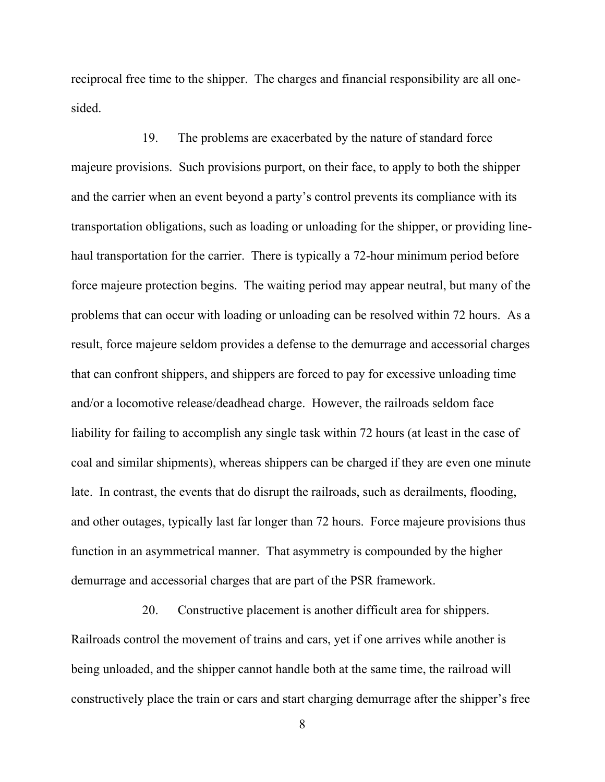reciprocal free time to the shipper. The charges and financial responsibility are all onesided.

19. The problems are exacerbated by the nature of standard force majeure provisions. Such provisions purport, on their face, to apply to both the shipper and the carrier when an event beyond a party's control prevents its compliance with its transportation obligations, such as loading or unloading for the shipper, or providing linehaul transportation for the carrier. There is typically a 72-hour minimum period before force majeure protection begins. The waiting period may appear neutral, but many of the problems that can occur with loading or unloading can be resolved within 72 hours. As a result, force majeure seldom provides a defense to the demurrage and accessorial charges that can confront shippers, and shippers are forced to pay for excessive unloading time and/or a locomotive release/deadhead charge. However, the railroads seldom face liability for failing to accomplish any single task within 72 hours (at least in the case of coal and similar shipments), whereas shippers can be charged if they are even one minute late. In contrast, the events that do disrupt the railroads, such as derailments, flooding, and other outages, typically last far longer than 72 hours. Force majeure provisions thus function in an asymmetrical manner. That asymmetry is compounded by the higher demurrage and accessorial charges that are part of the PSR framework.

20. Constructive placement is another difficult area for shippers. Railroads control the movement of trains and cars, yet if one arrives while another is being unloaded, and the shipper cannot handle both at the same time, the railroad will constructively place the train or cars and start charging demurrage after the shipper's free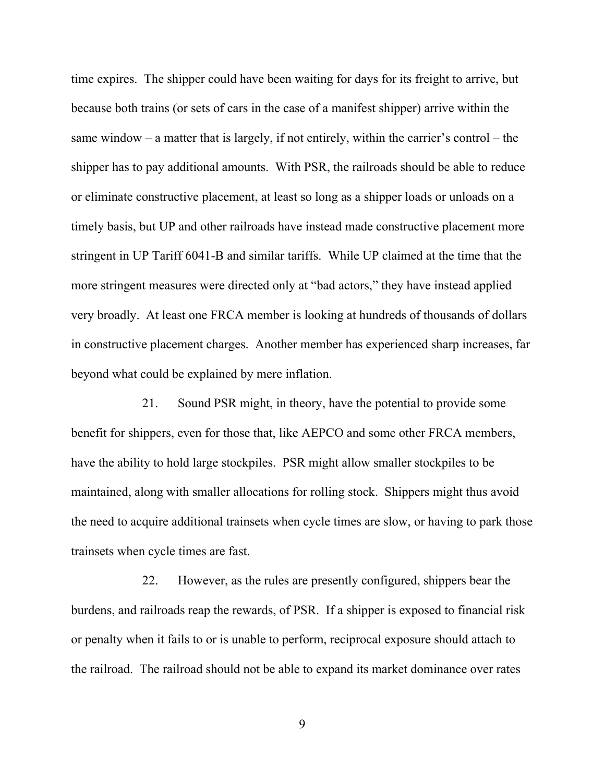time expires. The shipper could have been waiting for days for its freight to arrive, but because both trains (or sets of cars in the case of a manifest shipper) arrive within the same window – a matter that is largely, if not entirely, within the carrier's control – the shipper has to pay additional amounts. With PSR, the railroads should be able to reduce or eliminate constructive placement, at least so long as a shipper loads or unloads on a timely basis, but UP and other railroads have instead made constructive placement more stringent in UP Tariff 6041-B and similar tariffs. While UP claimed at the time that the more stringent measures were directed only at "bad actors," they have instead applied very broadly. At least one FRCA member is looking at hundreds of thousands of dollars in constructive placement charges. Another member has experienced sharp increases, far beyond what could be explained by mere inflation.

21. Sound PSR might, in theory, have the potential to provide some benefit for shippers, even for those that, like AEPCO and some other FRCA members, have the ability to hold large stockpiles. PSR might allow smaller stockpiles to be maintained, along with smaller allocations for rolling stock. Shippers might thus avoid the need to acquire additional trainsets when cycle times are slow, or having to park those trainsets when cycle times are fast.

22. However, as the rules are presently configured, shippers bear the burdens, and railroads reap the rewards, of PSR. If a shipper is exposed to financial risk or penalty when it fails to or is unable to perform, reciprocal exposure should attach to the railroad. The railroad should not be able to expand its market dominance over rates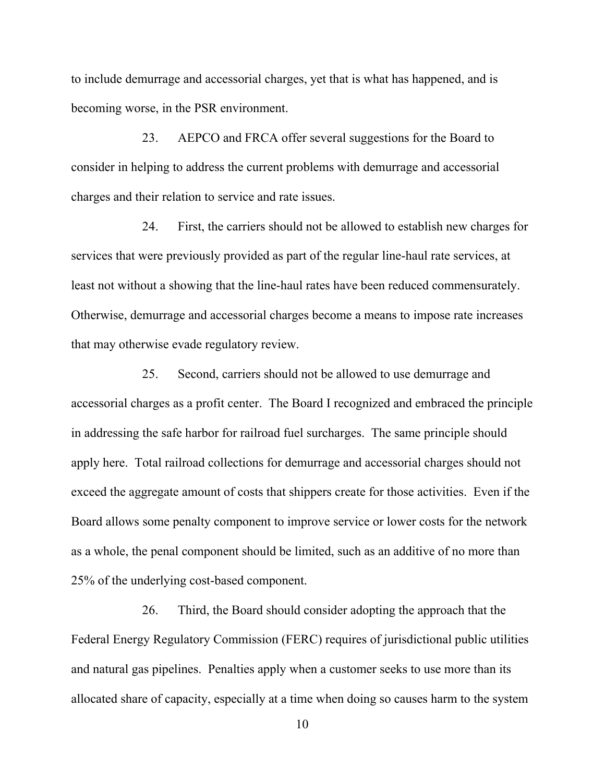to include demurrage and accessorial charges, yet that is what has happened, and is becoming worse, in the PSR environment.

23. AEPCO and FRCA offer several suggestions for the Board to consider in helping to address the current problems with demurrage and accessorial charges and their relation to service and rate issues.

24. First, the carriers should not be allowed to establish new charges for services that were previously provided as part of the regular line-haul rate services, at least not without a showing that the line-haul rates have been reduced commensurately. Otherwise, demurrage and accessorial charges become a means to impose rate increases that may otherwise evade regulatory review.

25. Second, carriers should not be allowed to use demurrage and accessorial charges as a profit center. The Board I recognized and embraced the principle in addressing the safe harbor for railroad fuel surcharges. The same principle should apply here. Total railroad collections for demurrage and accessorial charges should not exceed the aggregate amount of costs that shippers create for those activities. Even if the Board allows some penalty component to improve service or lower costs for the network as a whole, the penal component should be limited, such as an additive of no more than 25% of the underlying cost-based component.

26. Third, the Board should consider adopting the approach that the Federal Energy Regulatory Commission (FERC) requires of jurisdictional public utilities and natural gas pipelines. Penalties apply when a customer seeks to use more than its allocated share of capacity, especially at a time when doing so causes harm to the system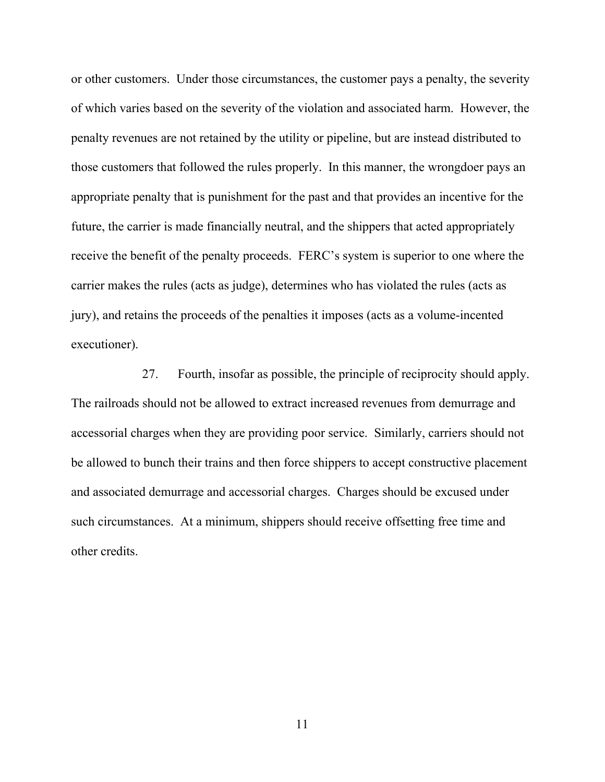or other customers. Under those circumstances, the customer pays a penalty, the severity of which varies based on the severity of the violation and associated harm. However, the penalty revenues are not retained by the utility or pipeline, but are instead distributed to those customers that followed the rules properly. In this manner, the wrongdoer pays an appropriate penalty that is punishment for the past and that provides an incentive for the future, the carrier is made financially neutral, and the shippers that acted appropriately receive the benefit of the penalty proceeds. FERC's system is superior to one where the carrier makes the rules (acts as judge), determines who has violated the rules (acts as jury), and retains the proceeds of the penalties it imposes (acts as a volume-incented executioner).

27. Fourth, insofar as possible, the principle of reciprocity should apply. The railroads should not be allowed to extract increased revenues from demurrage and accessorial charges when they are providing poor service. Similarly, carriers should not be allowed to bunch their trains and then force shippers to accept constructive placement and associated demurrage and accessorial charges. Charges should be excused under such circumstances. At a minimum, shippers should receive offsetting free time and other credits.